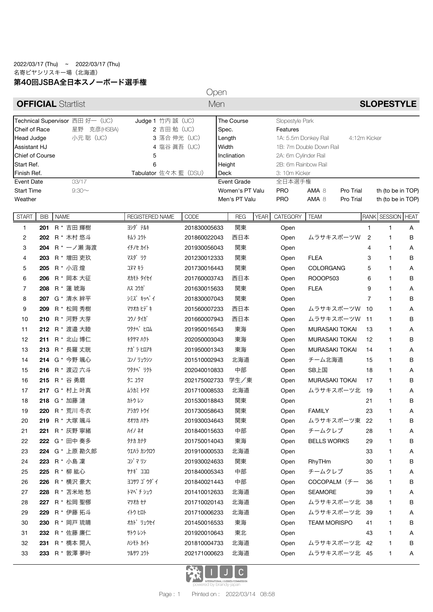## 2022/03/17 (Thu) ~ 2022/03/17 (Thu) 名寄ピヤシリスキー場(北海道) 第40回JSBA全日本スノーボード選手権

Open

| <b>OFFICIAL Startlist</b>                                                                                    |            |             |                   | Men                                                                  |              |                                        |             |                                                                                                | <b>SLOPESTYLE</b>   |                       |                |                          |   |  |
|--------------------------------------------------------------------------------------------------------------|------------|-------------|-------------------|----------------------------------------------------------------------|--------------|----------------------------------------|-------------|------------------------------------------------------------------------------------------------|---------------------|-----------------------|----------------|--------------------------|---|--|
| Technical Supervisor 西田 好一 (IJC)<br>Cheif of Race<br>星野 克彦(HSBA)<br>小元 聡 (IJC)<br>Head Judge<br>Assistant HJ |            |             |                   | Judge 1 竹内 誠 (IJC)<br>2 吉田 勉 (IJC)<br>3 落合 伸光 (IJC)<br>4 塩谷 眞吾 (IJC) |              | The Course<br>Spec.<br>Length<br>Width |             | Slopestyle Park<br>Features<br>1A: 5.5m Donkey Rail<br>4:12m Kicker<br>1B: 7m Double Down Rail |                     |                       |                |                          |   |  |
| <b>Chief of Course</b>                                                                                       |            |             |                   | 5                                                                    |              | Inclination                            |             | 2A: 6m Cylinder Rail                                                                           |                     |                       |                |                          |   |  |
| Start Ref.                                                                                                   |            |             |                   | 6                                                                    |              | Height                                 |             | 2B: 6m Rainbow Rail                                                                            |                     |                       |                |                          |   |  |
| Finish Ref.                                                                                                  |            |             |                   | Tabulator 佐々木 藍 (DSU)                                                | Deck         |                                        |             | 3: 10m Kicker                                                                                  |                     |                       |                |                          |   |  |
| Event Date<br><b>Start Time</b>                                                                              |            |             | 03/17<br>$9:30$ ~ |                                                                      |              | Event Grade<br>Women's PT Valu         |             | 全日本選手権<br><b>PRO</b>                                                                           | AMA 8               | Pro Trial             |                | th (to be in TOP)        |   |  |
| Weather                                                                                                      |            |             |                   |                                                                      |              | Men's PT Valu                          |             | <b>PRO</b>                                                                                     | AMA 8               | Pro Trial             |                | th (to be in TOP)        |   |  |
| <b>START</b>                                                                                                 | <b>BIB</b> | <b>NAME</b> |                   | REGISTERED NAME                                                      | CODE         | <b>REG</b>                             | <b>YEAR</b> | CATEGORY                                                                                       | <b>TEAM</b>         |                       |                | <b>RANK SESSION HEAT</b> |   |  |
| 1                                                                                                            | 201        |             | R * 吉田 輝樹         | 3>ダ テルキ                                                              | 201830005633 | 関東                                     |             | Open                                                                                           |                     |                       | 1              | $\mathbf{1}$             | Α |  |
| 2                                                                                                            | 202        |             | R * 木村 悠斗         | キムラ ユウト                                                              | 201860022043 | 西日本                                    |             | Open                                                                                           |                     | ムラサキスポーツW             | $\overline{2}$ | $\mathbf{1}$             | В |  |
| 3                                                                                                            | 204        |             | R * 一ノ瀬 海渡        | イチノセ カイト                                                             | 201930056043 | 関東                                     |             | Open                                                                                           |                     |                       | 4              | $\mathbf{1}$             | Α |  |
| 4                                                                                                            | 203        |             | R * 増田 吏玖         | マスダ リク                                                               | 201230012333 | 関東                                     |             | Open                                                                                           | <b>FLEA</b>         |                       | 3              | 1                        | В |  |
| 5                                                                                                            | 205        |             | R * 小沼煌           | コヌマキラ                                                                | 201730016443 | 関東                                     |             | Open                                                                                           | COLORGANG           |                       | 5              | $\mathbf{1}$             | Α |  |
| 6                                                                                                            | 206        |             | R * 岡本 大征         | オカモト タイセイ                                                            | 201760003743 | 西日本                                    |             | Open                                                                                           | ROOOP503            |                       | 6              | $\mathbf{1}$             | В |  |
| 7                                                                                                            | 208        |             | R * 蓮 琥海          | ハスコウガ                                                                | 201630015633 | 関東                                     |             | Open                                                                                           | <b>FLEA</b>         |                       | 9              | 1                        | Α |  |
| 8                                                                                                            | 207        |             | G * 清水 絆平         | シミズ キッペイ                                                             | 201830007043 | 関東                                     |             | Open                                                                                           |                     |                       | 7              | $\mathbf{1}$             | В |  |
| 9                                                                                                            | 209        |             | R * 松岡 秀樹         | マツオカ ヒデ キ                                                            | 201560007233 | 西日本                                    |             | Open                                                                                           |                     | ムラサキスポーツW             | 10             | $\mathbf{1}$             | Α |  |
| 10                                                                                                           | 210        |             | R * 河野 大芽         | コウノ タイガ                                                              | 201660007943 | 西日本                                    |             | Open                                                                                           |                     | ムラサキスポーツW             | 11             | 1                        | В |  |
| 11                                                                                                           | 212        |             | R * 渡邉 大睦         | ワタナへ゛ ヒロム                                                            | 201950016543 | 東海                                     |             | Open                                                                                           |                     | <b>MURASAKI TOKAI</b> | 13             | $\mathbf{1}$             | Α |  |
| 12                                                                                                           | 211        |             | R * 北山 博仁         | キタヤマ ハクト                                                             | 202050003043 | 東海                                     |             | Open                                                                                           |                     | <b>MURASAKI TOKAI</b> | 12             | $\mathbf{1}$             | В |  |
| 13                                                                                                           | 213        |             | R * 長羅 丈晄         | ナガ ラ ヒロアキ                                                            | 201950001343 | 東海                                     |             | Open                                                                                           |                     | <b>MURASAKI TOKAI</b> | 14             | $\mathbf{1}$             | Α |  |
| 14                                                                                                           |            |             | 214 G * 今野 颯心     | コンノ リュウシン                                                            | 201510002943 | 北海道                                    |             | Open                                                                                           | チーム北海道              |                       | 15             | $\mathbf{1}$             | В |  |
| 15                                                                                                           | 216        |             | R * 渡辺 六斗         | ワタナベ リクト                                                             | 202040010833 | 中部                                     |             | Open                                                                                           | SB上国                |                       | 18             | 1                        | Α |  |
| 16                                                                                                           | 215        |             | R * 谷 勇磨          | タニ ユウマ                                                               | 202175002733 | 学生/東                                   |             | Open                                                                                           |                     | MURASAKI TOKAI        | 17             | $\mathbf{1}$             | В |  |
| 17                                                                                                           |            |             | 217 G * 村上 叶真     | ムラカミ トウマ                                                             | 201710008533 | 北海道                                    |             | Open                                                                                           |                     | ムラサキスポーツ北             | 19             | $\mathbf{1}$             | Α |  |
| 18                                                                                                           | 218        |             | G * 加藤 漣          | かけレン                                                                 | 201530018843 | 関東                                     |             | Open                                                                                           |                     |                       | 21             | 1                        | В |  |
| 19                                                                                                           | 220        |             | R * 荒川 冬衣         | アラカワ トウイ                                                             | 201730058643 | 関東                                     |             | Open                                                                                           | <b>FAMILY</b>       |                       | 23             | $\mathbf{1}$             | Α |  |
| 20                                                                                                           | 219        |             | R * 大塚 颯斗         | オオツカ ハヤト                                                             | 201930034643 | 関東                                     |             | Open                                                                                           |                     | ムラサキスポーツ東             | 22             | 1                        | B |  |
| 21                                                                                                           |            |             | 221 R * 灰野 寧緒     | ハイノネオ                                                                | 201840015633 | 中部                                     |             | Open                                                                                           | チームクレブ              |                       | 28             | 1                        | A |  |
| 22                                                                                                           |            |             | 222 G * 田中 奏多     | タナカ カナタ                                                              | 201750014043 | 東海                                     |             | Open                                                                                           | <b>BELLS WORKS</b>  |                       | 29             | 1                        | В |  |
| 23                                                                                                           |            |             | 224 G * 上原 勘久郎    | ウエハラ カンクロウ                                                           | 201910000533 | 北海道                                    |             | Open                                                                                           |                     |                       | 33             | 1                        | Α |  |
| 24                                                                                                           | 223        |             | R * 小島 凜          | コジマ リン                                                               | 201930024633 | 関東                                     |             | Open                                                                                           | RhyTHm              |                       | 30             | 1                        | в |  |
| 25                                                                                                           | 225        |             | R * 柳 紘心          | ヤナギ ココロ                                                              | 201840005343 | 中部                                     |             | Open                                                                                           | チームクレブ              |                       | 35             | 1                        | A |  |
| 26                                                                                                           | 226        |             | R * 横沢 豪大         | ヨコサワ ゴ ウダイ                                                           | 201840021443 | 中部                                     |             | Open                                                                                           |                     | COCOPALM (チー          | 36             | 1                        | в |  |
| 27                                                                                                           | 228        |             | R * 苫米地 愁         | トマベ チ シュウ                                                            | 201410012633 | 北海道                                    |             | Open                                                                                           | <b>SEAMORE</b>      |                       | 39             | 1                        | Α |  |
| 28                                                                                                           | 227        |             | R * 松岡 聖梛         | マツオカ セナ                                                              | 201710020143 | 北海道                                    |             | Open                                                                                           |                     | ムラサキスポーツ北             | -38            | 1                        | в |  |
| 29                                                                                                           | 229        |             | R * 伊藤 拓斗         | 仆儿                                                                   | 201710006233 | 北海道                                    |             | Open                                                                                           |                     | ムラサキスポーツ北             | 39             | 1                        | Α |  |
| 30                                                                                                           | 230        |             | R * 岡戸 琉晴         | オカト゛ リュウセイ                                                           | 201450016533 | 東海                                     |             | Open                                                                                           | <b>TEAM MORISPO</b> |                       | 41             | 1                        | в |  |
| 31                                                                                                           |            |             | 232 R * 佐藤 廉仁     | サトウレント                                                               | 201920010643 | 東北                                     |             | Open                                                                                           |                     |                       | 43             | 1                        | A |  |
| 32                                                                                                           | 231        |             | R * 橋本 開人         | 心卧 加                                                                 | 201810004733 | 北海道                                    |             | Open                                                                                           |                     | ムラサキスポーツ北             | 42             | 1                        | В |  |
| 33                                                                                                           |            |             | 233 R * 敦澤 夢叶     | ツルサワ ユウト                                                             | 202171000623 | 北海道                                    |             | Open                                                                                           |                     | ムラサキスポーツ北 45          |                | $\mathbf{1}$             | A |  |